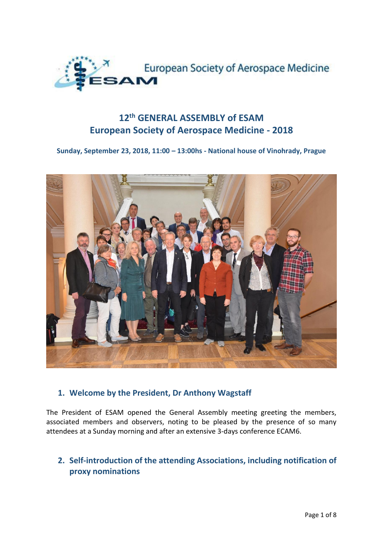

# **12th GENERAL ASSEMBLY of ESAM European Society of Aerospace Medicine - 2018**

### **Sunday, September 23, 2018, 11:00 – 13:00hs - National house of Vinohrady, Prague**



### **1. Welcome by the President, Dr Anthony Wagstaff**

The President of ESAM opened the General Assembly meeting greeting the members, associated members and observers, noting to be pleased by the presence of so many attendees at a Sunday morning and after an extensive 3-days conference ECAM6.

## **2. Self-introduction of the attending Associations, including notification of proxy nominations**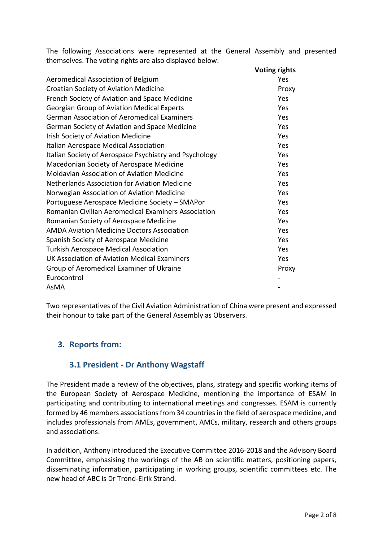The following Associations were represented at the General Assembly and presented themselves. The voting rights are also displayed below:

|                                                            | <b>Voting rights</b> |
|------------------------------------------------------------|----------------------|
| Aeromedical Association of Belgium                         | Yes                  |
| <b>Croatian Society of Aviation Medicine</b>               | Proxy                |
| French Society of Aviation and Space Medicine              | Yes                  |
| <b>Georgian Group of Aviation Medical Experts</b>          | Yes                  |
| <b>German Association of Aeromedical Examiners</b>         | Yes                  |
| German Society of Aviation and Space Medicine              | Yes                  |
| Irish Society of Aviation Medicine                         | Yes                  |
| Italian Aerospace Medical Association                      | Yes                  |
| Italian Society of Aerospace Psychiatry and Psychology     | Yes                  |
| Macedonian Society of Aerospace Medicine                   | Yes                  |
| <b>Moldavian Association of Aviation Medicine</b>          | Yes                  |
| Netherlands Association for Aviation Medicine              | Yes                  |
| Norwegian Association of Aviation Medicine                 | Yes                  |
| Portuguese Aerospace Medicine Society - SMAPor             | Yes                  |
| <b>Romanian Civilian Aeromedical Examiners Association</b> | Yes                  |
| Romanian Society of Aerospace Medicine                     | Yes                  |
| <b>AMDA Aviation Medicine Doctors Association</b>          | Yes                  |
| Spanish Society of Aerospace Medicine                      | Yes                  |
| <b>Turkish Aerospace Medical Association</b>               | Yes                  |
| UK Association of Aviation Medical Examiners               | Yes                  |
| Group of Aeromedical Examiner of Ukraine                   | Proxy                |
| Eurocontrol                                                |                      |
| AsMA                                                       |                      |

Two representatives of the Civil Aviation Administration of China were present and expressed their honour to take part of the General Assembly as Observers.

## **3. Reports from:**

### **3.1 President - Dr Anthony Wagstaff**

The President made a review of the objectives, plans, strategy and specific working items of the European Society of Aerospace Medicine, mentioning the importance of ESAM in participating and contributing to international meetings and congresses. ESAM is currently formed by 46 members associations from 34 countries in the field of aerospace medicine, and includes professionals from AMEs, government, AMCs, military, research and others groups and associations.

In addition, Anthony introduced the Executive Committee 2016-2018 and the Advisory Board Committee, emphasising the workings of the AB on scientific matters, positioning papers, disseminating information, participating in working groups, scientific committees etc. The new head of ABC is Dr Trond-Eirik Strand.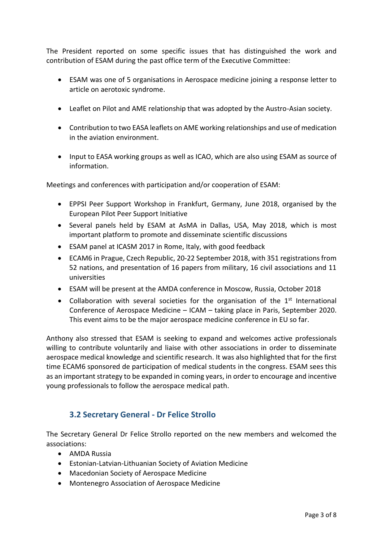The President reported on some specific issues that has distinguished the work and contribution of ESAM during the past office term of the Executive Committee:

- ESAM was one of 5 organisations in Aerospace medicine joining a response letter to article on aerotoxic syndrome.
- Leaflet on Pilot and AME relationship that was adopted by the Austro-Asian society.
- Contribution to two EASA leaflets on AME working relationships and use of medication in the aviation environment.
- Input to EASA working groups as well as ICAO, which are also using ESAM as source of information.

Meetings and conferences with participation and/or cooperation of ESAM:

- EPPSI Peer Support Workshop in Frankfurt, Germany, June 2018, organised by the European Pilot Peer Support Initiative
- Several panels held by ESAM at AsMA in Dallas, USA, May 2018, which is most important platform to promote and disseminate scientific discussions
- ESAM panel at ICASM 2017 in Rome, Italy, with good feedback
- ECAM6 in Prague, Czech Republic, 20-22 September 2018, with 351 registrations from 52 nations, and presentation of 16 papers from military, 16 civil associations and 11 universities
- ESAM will be present at the AMDA conference in Moscow, Russia, October 2018
- Collaboration with several societies for the organisation of the  $1<sup>st</sup>$  International Conference of Aerospace Medicine – ICAM – taking place in Paris, September 2020. This event aims to be the major aerospace medicine conference in EU so far.

Anthony also stressed that ESAM is seeking to expand and welcomes active professionals willing to contribute voluntarily and liaise with other associations in order to disseminate aerospace medical knowledge and scientific research. It was also highlighted that for the first time ECAM6 sponsored de participation of medical students in the congress. ESAM sees this as an important strategy to be expanded in coming years, in order to encourage and incentive young professionals to follow the aerospace medical path.

## **3.2 Secretary General - Dr Felice Strollo**

The Secretary General Dr Felice Strollo reported on the new members and welcomed the associations:

- AMDA Russia
- Estonian-Latvian-Lithuanian Society of Aviation Medicine
- Macedonian Society of Aerospace Medicine
- Montenegro Association of Aerospace Medicine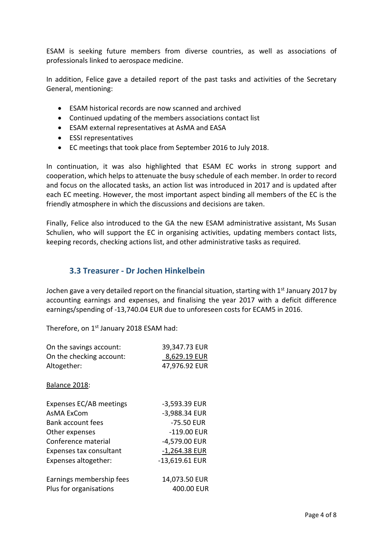ESAM is seeking future members from diverse countries, as well as associations of professionals linked to aerospace medicine.

In addition, Felice gave a detailed report of the past tasks and activities of the Secretary General, mentioning:

- ESAM historical records are now scanned and archived
- Continued updating of the members associations contact list
- ESAM external representatives at AsMA and EASA
- ESSI representatives
- EC meetings that took place from September 2016 to July 2018.

In continuation, it was also highlighted that ESAM EC works in strong support and cooperation, which helps to attenuate the busy schedule of each member. In order to record and focus on the allocated tasks, an action list was introduced in 2017 and is updated after each EC meeting. However, the most important aspect binding all members of the EC is the friendly atmosphere in which the discussions and decisions are taken.

Finally, Felice also introduced to the GA the new ESAM administrative assistant, Ms Susan Schulien, who will support the EC in organising activities, updating members contact lists, keeping records, checking actions list, and other administrative tasks as required.

### **3.3 Treasurer - Dr Jochen Hinkelbein**

Jochen gave a very detailed report on the financial situation, starting with  $1<sup>st</sup>$  January 2017 by accounting earnings and expenses, and finalising the year 2017 with a deficit difference earnings/spending of -13,740.04 EUR due to unforeseen costs for ECAM5 in 2016.

Therefore, on 1<sup>st</sup> January 2018 ESAM had:

| On the savings account:  | 39,347.73 EUR   |
|--------------------------|-----------------|
| On the checking account: | 8,629.19 EUR    |
| Altogether:              | 47,976.92 EUR   |
| Balance 2018:            |                 |
| Expenses EC/AB meetings  | -3,593.39 EUR   |
| AsMA ExCom               | -3,988.34 EUR   |
| Bank account fees        | -75.50 EUR      |
| Other expenses           | $-119.00$ EUR   |
| Conference material      | -4,579.00 EUR   |
| Expenses tax consultant  | $-1,264.38$ EUR |
| Expenses altogether:     | -13,619.61 EUR  |
| Earnings membership fees | 14,073.50 EUR   |
| Plus for organisations   | 400.00 EUR      |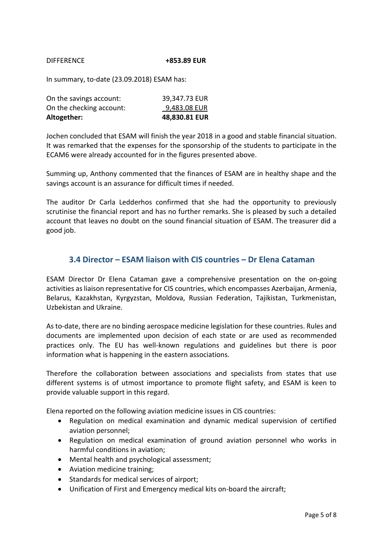### DIFFERENCE **+853.89 EUR**

In summary, to-date (23.09.2018) ESAM has:

| Altogether:              | 48,830.81 EUR |
|--------------------------|---------------|
| On the checking account: | 9,483.08 EUR  |
| On the savings account:  | 39,347.73 EUR |

Jochen concluded that ESAM will finish the year 2018 in a good and stable financial situation. It was remarked that the expenses for the sponsorship of the students to participate in the ECAM6 were already accounted for in the figures presented above.

Summing up, Anthony commented that the finances of ESAM are in healthy shape and the savings account is an assurance for difficult times if needed.

The auditor Dr Carla Ledderhos confirmed that she had the opportunity to previously scrutinise the financial report and has no further remarks. She is pleased by such a detailed account that leaves no doubt on the sound financial situation of ESAM. The treasurer did a good job.

### **3.4 Director – ESAM liaison with CIS countries – Dr Elena Cataman**

ESAM Director Dr Elena Cataman gave a comprehensive presentation on the on-going activities as liaison representative for CIS countries, which encompasses Azerbaijan, Armenia, Belarus, Kazakhstan, Kyrgyzstan, Moldova, Russian Federation, Tajikistan, Turkmenistan, Uzbekistan and Ukraine.

As to-date, there are no binding aerospace medicine legislation for these countries. Rules and documents are implemented upon decision of each state or are used as recommended practices only. The EU has well-known regulations and guidelines but there is poor information what is happening in the eastern associations.

Therefore the collaboration between associations and specialists from states that use different systems is of utmost importance to promote flight safety, and ESAM is keen to provide valuable support in this regard.

Elena reported on the following aviation medicine issues in CIS countries:

- Regulation on medical examination and dynamic medical supervision of certified aviation personnel;
- Regulation on medical examination of ground aviation personnel who works in harmful conditions in aviation;
- Mental health and psychological assessment;
- Aviation medicine training;
- Standards for medical services of airport;
- Unification of First and Emergency medical kits on-board the aircraft;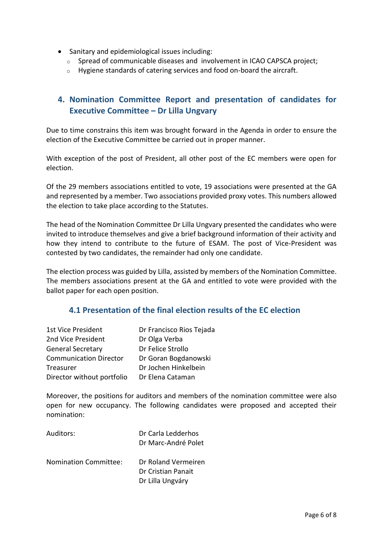- Sanitary and epidemiological issues including:
	- $\circ$  Spread of communicable diseases and involvement in ICAO CAPSCA project;
	- o Hygiene standards of catering services and food on-board the aircraft.

## **4. Nomination Committee Report and presentation of candidates for Executive Committee – Dr Lilla Ungvary**

Due to time constrains this item was brought forward in the Agenda in order to ensure the election of the Executive Committee be carried out in proper manner.

With exception of the post of President, all other post of the EC members were open for election.

Of the 29 members associations entitled to vote, 19 associations were presented at the GA and represented by a member. Two associations provided proxy votes. This numbers allowed the election to take place according to the Statutes.

The head of the Nomination Committee Dr Lilla Ungvary presented the candidates who were invited to introduce themselves and give a brief background information of their activity and how they intend to contribute to the future of ESAM. The post of Vice-President was contested by two candidates, the remainder had only one candidate.

The election process was guided by Lilla, assisted by members of the Nomination Committee. The members associations present at the GA and entitled to vote were provided with the ballot paper for each open position.

### **4.1 Presentation of the final election results of the EC election**

| 1st Vice President            | Dr Francisco Rios Tejada |
|-------------------------------|--------------------------|
| 2nd Vice President            | Dr Olga Verba            |
| <b>General Secretary</b>      | Dr Felice Strollo        |
| <b>Communication Director</b> | Dr Goran Bogdanowski     |
| Treasurer                     | Dr Jochen Hinkelbein     |
| Director without portfolio    | Dr Elena Cataman         |

Moreover, the positions for auditors and members of the nomination committee were also open for new occupancy. The following candidates were proposed and accepted their nomination:

| Auditors:                    | Dr Carla Ledderhos<br>Dr Marc-André Polet                     |
|------------------------------|---------------------------------------------------------------|
| <b>Nomination Committee:</b> | Dr Roland Vermeiren<br>Dr Cristian Panait<br>Dr Lilla Ungváry |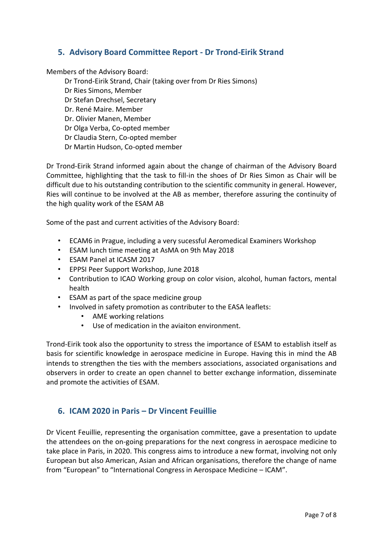### **5. Advisory Board Committee Report - Dr Trond-Eirik Strand**

Members of the Advisory Board:

Dr Trond-Eirik Strand, Chair (taking over from Dr Ries Simons) Dr Ries Simons, Member Dr Stefan Drechsel, Secretary Dr. René Maire. Member Dr. Olivier Manen, Member Dr Olga Verba, Co-opted member Dr Claudia Stern, Co-opted member Dr Martin Hudson, Co-opted member

Dr Trond-Eirik Strand informed again about the change of chairman of the Advisory Board Committee, highlighting that the task to fill-in the shoes of Dr Ries Simon as Chair will be difficult due to his outstanding contribution to the scientific community in general. However, Ries will continue to be involved at the AB as member, therefore assuring the continuity of the high quality work of the ESAM AB

Some of the past and current activities of the Advisory Board:

- ECAM6 in Prague, including a very sucessful Aeromedical Examiners Workshop
- ESAM lunch time meeting at AsMA on 9th May 2018
- ESAM Panel at ICASM 2017
- EPPSI Peer Support Workshop, June 2018
- Contribution to ICAO Working group on color vision, alcohol, human factors, mental health
- ESAM as part of the space medicine group
- Involved in safety promotion as contributer to the EASA leaflets:
	- AME working relations
	- Use of medication in the aviaiton environment.

Trond-Eirik took also the opportunity to stress the importance of ESAM to establish itself as basis for scientific knowledge in aerospace medicine in Europe. Having this in mind the AB intends to strengthen the ties with the members associations, associated organisations and observers in order to create an open channel to better exchange information, disseminate and promote the activities of ESAM.

### **6. ICAM 2020 in Paris – Dr Vincent Feuillie**

Dr Vicent Feuillie, representing the organisation committee, gave a presentation to update the attendees on the on-going preparations for the next congress in aerospace medicine to take place in Paris, in 2020. This congress aims to introduce a new format, involving not only European but also American, Asian and African organisations, therefore the change of name from "European" to "International Congress in Aerospace Medicine – ICAM".